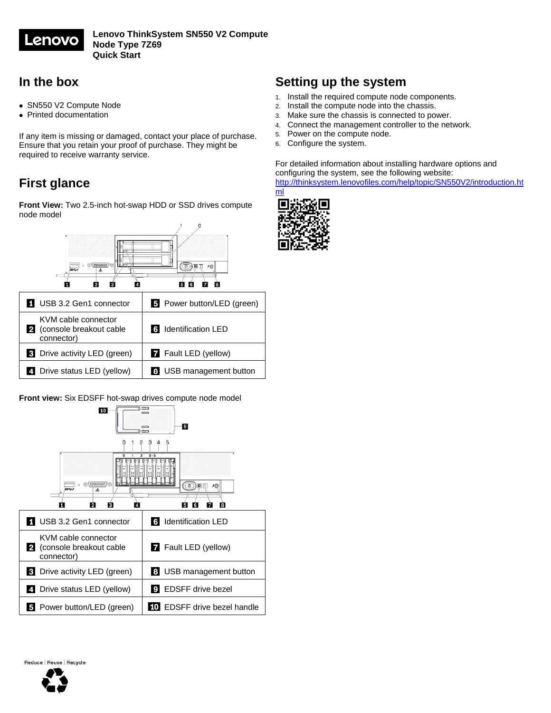

### **In the box**

- SN550 V2 Compute Node
- Printed documentation

If any item is missing or damaged, contact your place of purchase. Ensure that you retain your proof of purchase. They might be required to receive warranty service.

## **First glance**

**Front View:** Two 2.5-inch hot-swap HDD or SSD drives compute node model



| USB 3.2 Gen1 connector                                       | 5 Power button/LED (green)  |
|--------------------------------------------------------------|-----------------------------|
| KVM cable connector<br>(console breakout cable<br>connector) | 6 Identification LED        |
| <b>3</b> Drive activity LED (green)                          | <b>7</b> Fault LED (yellow) |
| 4 Drive status LED (yellow)                                  | 8 USB management button     |

#### **Front view:** Six EDSFF hot-swap drives compute node model



# **Setting up the system**

- 1. Install the required compute node components.
- 2. Install the compute node into the chassis.
- 3. Make sure the chassis is connected to power.
- 4. Connect the management controller to the network.
- 5. Power on the compute node.<br>6. Configure the system.
- Configure the system.

For detailed information about installing hardware options and configuring the system, see the following website: [http://thinksystem.lenovofiles.com/help/topic/SN550V2/introduction.ht](http://thinksystem.lenovofiles.com/help/topic/SN550V2/introduction.html)